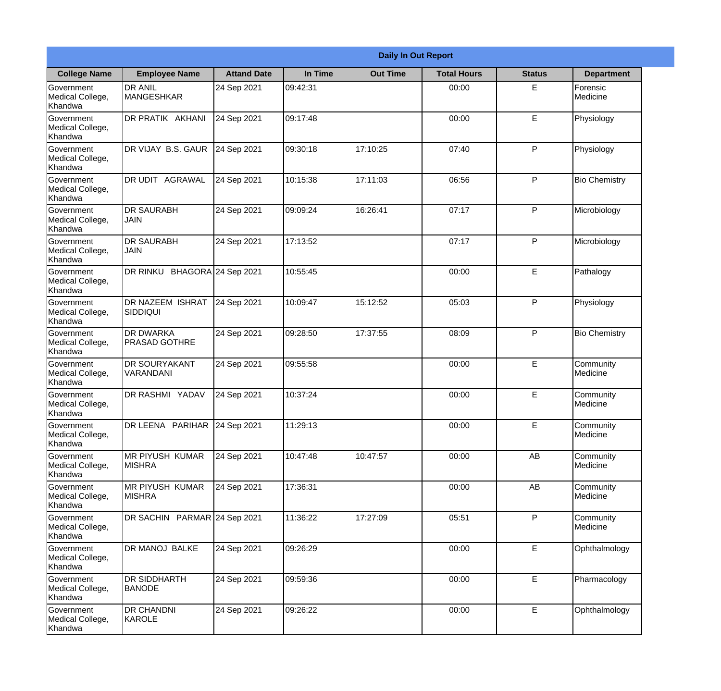|                                           | <b>Daily In Out Report</b>                 |                    |           |                 |                    |               |                       |  |
|-------------------------------------------|--------------------------------------------|--------------------|-----------|-----------------|--------------------|---------------|-----------------------|--|
| <b>College Name</b>                       | <b>Employee Name</b>                       | <b>Attand Date</b> | In Time   | <b>Out Time</b> | <b>Total Hours</b> | <b>Status</b> | <b>Department</b>     |  |
| Government<br>Medical College,<br>Khandwa | <b>DR ANIL</b><br><b>MANGESHKAR</b>        | 24 Sep 2021        | 09:42:31  |                 | 00:00              | E             | Forensic<br>Medicine  |  |
| Government<br>Medical College,<br>Khandwa | DR PRATIK AKHANI                           | 24 Sep 2021        | 09:17:48  |                 | 00:00              | E             | Physiology            |  |
| Government<br>Medical College,<br>Khandwa | DR VIJAY B.S. GAUR                         | 24 Sep 2021        | 09:30:18  | 17:10:25        | 07:40              | P             | Physiology            |  |
| Government<br>Medical College,<br>Khandwa | DR UDIT AGRAWAL                            | 24 Sep 2021        | 10:15:38  | 17:11:03        | 06:56              | P             | <b>Bio Chemistry</b>  |  |
| Government<br>Medical College,<br>Khandwa | <b>DR SAURABH</b><br><b>JAIN</b>           | 24 Sep 2021        | 109:09:24 | 16:26:41        | 07:17              | P             | Microbiology          |  |
| Government<br>Medical College,<br>Khandwa | <b>DR SAURABH</b><br><b>JAIN</b>           | 24 Sep 2021        | 17:13:52  |                 | 07:17              | P             | Microbiology          |  |
| Government<br>Medical College,<br>Khandwa | DR RINKU BHAGORA 24 Sep 2021               |                    | 10:55:45  |                 | 00:00              | E             | Pathalogy             |  |
| Government<br>Medical College,<br>Khandwa | <b>DR NAZEEM ISHRAT</b><br><b>SIDDIQUI</b> | 24 Sep 2021        | 10:09:47  | 15:12:52        | 05:03              | P             | Physiology            |  |
| Government<br>Medical College,<br>Khandwa | <b>DR DWARKA</b><br><b>PRASAD GOTHRE</b>   | 24 Sep 2021        | 09:28:50  | 17:37:55        | 08:09              | P             | <b>Bio Chemistry</b>  |  |
| Government<br>Medical College,<br>Khandwa | DR SOURYAKANT<br>VARANDANI                 | 24 Sep 2021        | 09:55:58  |                 | 00:00              | E             | Community<br>Medicine |  |
| Government<br>Medical College,<br>Khandwa | DR RASHMI YADAV                            | 24 Sep 2021        | 10:37:24  |                 | 00:00              | E             | Community<br>Medicine |  |
| Government<br>Medical College,<br>Khandwa | DR LEENA PARIHAR                           | 24 Sep 2021        | 11:29:13  |                 | 00:00              | E             | Community<br>Medicine |  |
| Government<br>Medical College,<br>Khandwa | <b>MR PIYUSH KUMAR</b><br><b>MISHRA</b>    | 24 Sep 2021        | 10:47:48  | 10:47:57        | 00:00              | AB            | Community<br>Medicine |  |
| Government<br>Medical College,<br>Khandwa | <b>MR PIYUSH KUMAR</b><br><b>MISHRA</b>    | 24 Sep 2021        | 17:36:31  |                 | 00:00              | AB            | Community<br>Medicine |  |
| Government<br>Medical College,<br>Khandwa | DR SACHIN PARMAR 24 Sep 2021               |                    | 11:36:22  | 17:27:09        | 05:51              | P             | Community<br>Medicine |  |
| Government<br>Medical College,<br>Khandwa | DR MANOJ BALKE                             | 24 Sep 2021        | 09:26:29  |                 | 00:00              | E             | Ophthalmology         |  |
| Government<br>Medical College,<br>Khandwa | DR SIDDHARTH<br><b>BANODE</b>              | 24 Sep 2021        | 09:59:36  |                 | 00:00              | E             | Pharmacology          |  |
| Government<br>Medical College,<br>Khandwa | DR CHANDNI<br>KAROLE                       | 24 Sep 2021        | 09:26:22  |                 | 00:00              | E             | Ophthalmology         |  |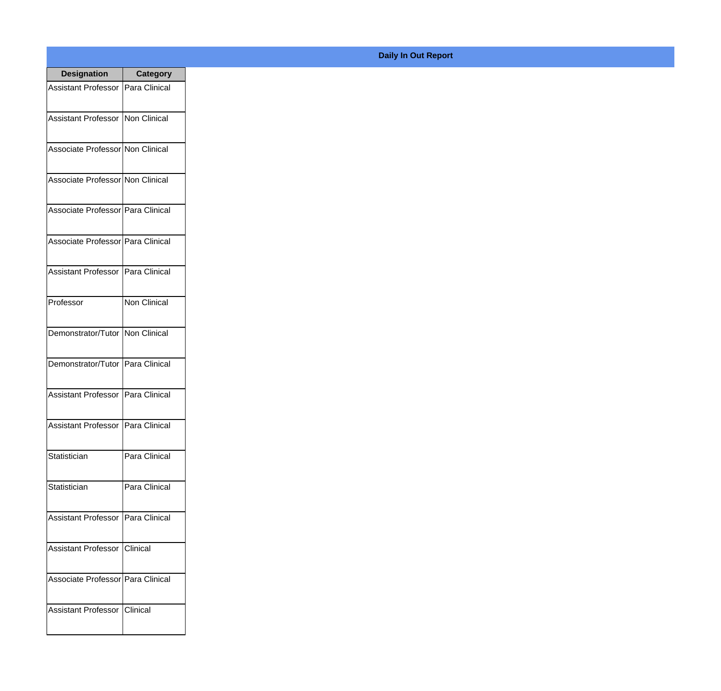| <b>Designation</b>                  | <b>Category</b> |
|-------------------------------------|-----------------|
| Assistant Professor   Para Clinical |                 |
| Assistant Professor   Non Clinical  |                 |
| Associate Professor Non Clinical    |                 |
| Associate Professor Non Clinical    |                 |
| Associate Professor   Para Clinical |                 |
| Associate Professor Para Clinical   |                 |
| Assistant Professor   Para Clinical |                 |
| Professor                           | Non Clinical    |
| Demonstrator/Tutor   Non Clinical   |                 |
| Demonstrator/Tutor                  | Para Clinical   |
| <b>Assistant Professor</b>          | Para Clinical   |
| Assistant Professor   Para Clinical |                 |
| Statistician                        | Para Clinical   |
| Statistician                        | Para Clinical   |
| <b>Assistant Professor</b>          | Para Clinical   |
| <b>Assistant Professor</b>          | Clinical        |
| Associate Professor   Para Clinical |                 |
| <b>Assistant Professor</b>          | <b>Clinical</b> |

## **Daily In Out Report**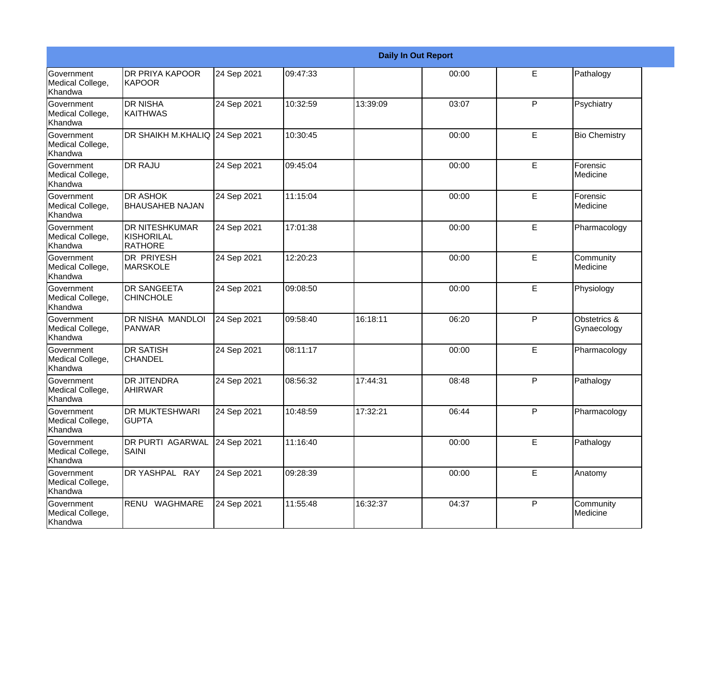|                                                  | <b>Daily In Out Report</b>                             |             |          |          |       |             |                             |
|--------------------------------------------------|--------------------------------------------------------|-------------|----------|----------|-------|-------------|-----------------------------|
| Government<br>Medical College,<br>Khandwa        | <b>DR PRIYA KAPOOR</b><br>KAPOOR                       | 24 Sep 2021 | 09:47:33 |          | 00:00 | E.          | Pathalogy                   |
| Government<br>Medical College,<br>Khandwa        | <b>DR NISHA</b><br>KAITHWAS                            | 24 Sep 2021 | 10:32:59 | 13:39:09 | 03:07 | P           | Psychiatry                  |
| <b>Government</b><br>Medical College,<br>Khandwa | DR SHAIKH M.KHALIQ 24 Sep 2021                         |             | 10:30:45 |          | 00:00 | E           | <b>Bio Chemistry</b>        |
| Government<br>Medical College,<br>Khandwa        | <b>DR RAJU</b>                                         | 24 Sep 2021 | 09:45:04 |          | 00:00 | E           | Forensic<br>Medicine        |
| Government<br>Medical College,<br>Khandwa        | <b>DR ASHOK</b><br><b>BHAUSAHEB NAJAN</b>              | 24 Sep 2021 | 11:15:04 |          | 00:00 | E           | Forensic<br>Medicine        |
| <b>Government</b><br>Medical College,<br>Khandwa | <b>IDR NITESHKUMAR</b><br>KISHORILAL<br><b>RATHORE</b> | 24 Sep 2021 | 17:01:38 |          | 00:00 | E           | Pharmacology                |
| Government<br>Medical College,<br>Khandwa        | <b>DR PRIYESH</b><br>MARSKOLE                          | 24 Sep 2021 | 12:20:23 |          | 00:00 | E.          | Community<br>Medicine       |
| Government<br>Medical College,<br>Khandwa        | <b>DR SANGEETA</b><br><b>CHINCHOLE</b>                 | 24 Sep 2021 | 09:08:50 |          | 00:00 | E           | Physiology                  |
| Government<br>Medical College,<br>Khandwa        | DR NISHA MANDLOI<br>PANWAR                             | 24 Sep 2021 | 09:58:40 | 16:18:11 | 06:20 | P           | Obstetrics &<br>Gynaecology |
| <b>Government</b><br>Medical College,<br>Khandwa | <b>DR SATISH</b><br><b>CHANDEL</b>                     | 24 Sep 2021 | 08:11:17 |          | 00:00 | E           | Pharmacology                |
| <b>Government</b><br>Medical College,<br>Khandwa | <b>DR JITENDRA</b><br><b>AHIRWAR</b>                   | 24 Sep 2021 | 08:56:32 | 17:44:31 | 08:48 | P           | Pathalogy                   |
| Government<br>Medical College,<br>Khandwa        | <b>DR MUKTESHWARI</b><br><b>GUPTA</b>                  | 24 Sep 2021 | 10:48:59 | 17:32:21 | 06:44 | P           | Pharmacology                |
| Government<br>Medical College,<br>Khandwa        | <b>DR PURTI AGARWAL</b><br><b>SAINI</b>                | 24 Sep 2021 | 11:16:40 |          | 00:00 | E           | Pathalogy                   |
| Government<br>Medical College,<br>Khandwa        | DR YASHPAL RAY                                         | 24 Sep 2021 | 09:28:39 |          | 00:00 | $\mathsf E$ | Anatomy                     |
| Government<br>Medical College,<br>Khandwa        | RENU WAGHMARE                                          | 24 Sep 2021 | 11:55:48 | 16:32:37 | 04:37 | P           | Community<br>Medicine       |